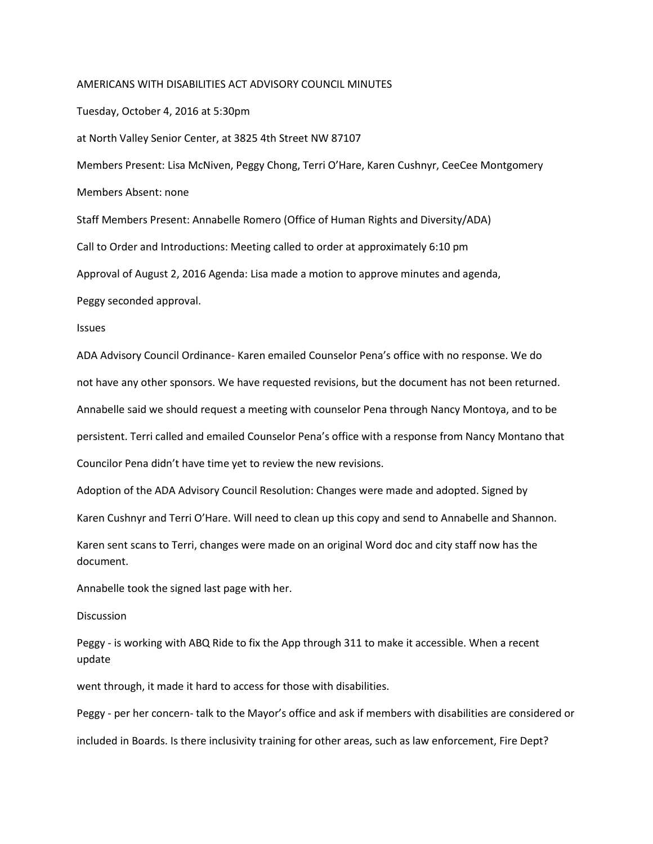## AMERICANS WITH DISABILITIES ACT ADVISORY COUNCIL MINUTES

Tuesday, October 4, 2016 at 5:30pm

at North Valley Senior Center, at 3825 4th Street NW 87107

Members Present: Lisa McNiven, Peggy Chong, Terri O'Hare, Karen Cushnyr, CeeCee Montgomery Members Absent: none

Staff Members Present: Annabelle Romero (Office of Human Rights and Diversity/ADA) Call to Order and Introductions: Meeting called to order at approximately 6:10 pm

Approval of August 2, 2016 Agenda: Lisa made a motion to approve minutes and agenda,

Peggy seconded approval.

Issues

ADA Advisory Council Ordinance- Karen emailed Counselor Pena's office with no response. We do not have any other sponsors. We have requested revisions, but the document has not been returned. Annabelle said we should request a meeting with counselor Pena through Nancy Montoya, and to be persistent. Terri called and emailed Counselor Pena's office with a response from Nancy Montano that Councilor Pena didn't have time yet to review the new revisions.

Adoption of the ADA Advisory Council Resolution: Changes were made and adopted. Signed by

Karen Cushnyr and Terri O'Hare. Will need to clean up this copy and send to Annabelle and Shannon.

Karen sent scans to Terri, changes were made on an original Word doc and city staff now has the document.

Annabelle took the signed last page with her.

## **Discussion**

Peggy - is working with ABQ Ride to fix the App through 311 to make it accessible. When a recent update

went through, it made it hard to access for those with disabilities.

Peggy - per her concern- talk to the Mayor's office and ask if members with disabilities are considered or included in Boards. Is there inclusivity training for other areas, such as law enforcement, Fire Dept?